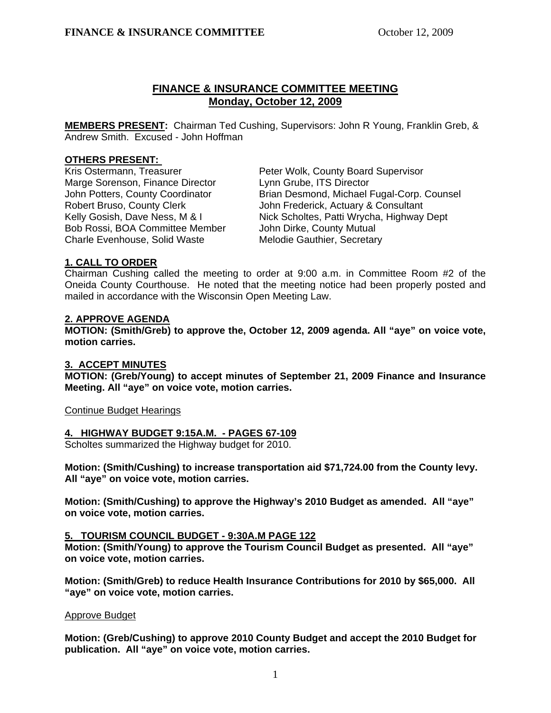# **FINANCE & INSURANCE COMMITTEE MEETING Monday, October 12, 2009**

**MEMBERS PRESENT:** Chairman Ted Cushing, Supervisors: John R Young, Franklin Greb, & Andrew Smith. Excused - John Hoffman

### **OTHERS PRESENT:**

Marge Sorenson, Finance Director Lynn Grube, ITS Director Bob Rossi, BOA Committee Member John Dirke, County Mutual Charle Evenhouse, Solid Waste Melodie Gauthier, Secretary

Kris Ostermann, Treasurer **Peter Wolk, County Board Supervisor**  John Potters, County Coordinator Brian Desmond, Michael Fugal-Corp. Counsel Robert Bruso, County Clerk **John Frederick, Actuary & Consultant** Kelly Gosish, Dave Ness, M & I Nick Scholtes, Patti Wrycha, Highway Dept

## **1. CALL TO ORDER**

Chairman Cushing called the meeting to order at 9:00 a.m. in Committee Room #2 of the Oneida County Courthouse. He noted that the meeting notice had been properly posted and mailed in accordance with the Wisconsin Open Meeting Law.

### **2. APPROVE AGENDA**

**MOTION: (Smith/Greb) to approve the, October 12, 2009 agenda. All "aye" on voice vote, motion carries.** 

## **3. ACCEPT MINUTES**

 **MOTION: (Greb/Young) to accept minutes of September 21, 2009 Finance and Insurance Meeting. All "aye" on voice vote, motion carries.** 

Continue Budget Hearings

#### **4. HIGHWAY BUDGET 9:15A.M. - PAGES 67-109**

Scholtes summarized the Highway budget for 2010.

 **Motion: (Smith/Cushing) to increase transportation aid \$71,724.00 from the County levy. All "aye" on voice vote, motion carries.** 

**Motion: (Smith/Cushing) to approve the Highway's 2010 Budget as amended. All "aye" on voice vote, motion carries.** 

#### **5. TOURISM COUNCIL BUDGET - 9:30A.M PAGE 122**

 **Motion: (Smith/Young) to approve the Tourism Council Budget as presented. All "aye" on voice vote, motion carries.** 

 **Motion: (Smith/Greb) to reduce Health Insurance Contributions for 2010 by \$65,000. All "aye" on voice vote, motion carries.** 

#### Approve Budget

 **Motion: (Greb/Cushing) to approve 2010 County Budget and accept the 2010 Budget for publication. All "aye" on voice vote, motion carries.**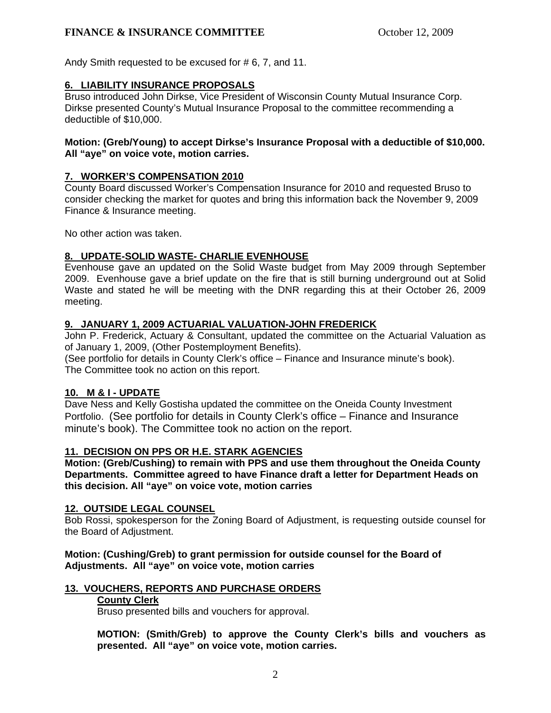# **FINANCE & INSURANCE COMMITTEE** October 12, 2009

Andy Smith requested to be excused for # 6, 7, and 11.

## **6. LIABILITY INSURANCE PROPOSALS**

Bruso introduced John Dirkse, Vice President of Wisconsin County Mutual Insurance Corp. Dirkse presented County's Mutual Insurance Proposal to the committee recommending a deductible of \$10,000.

### **Motion: (Greb/Young) to accept Dirkse's Insurance Proposal with a deductible of \$10,000. All "aye" on voice vote, motion carries.**

### **7. WORKER'S COMPENSATION 2010**

County Board discussed Worker's Compensation Insurance for 2010 and requested Bruso to consider checking the market for quotes and bring this information back the November 9, 2009 Finance & Insurance meeting.

No other action was taken.

## **8. UPDATE-SOLID WASTE- CHARLIE EVENHOUSE**

Evenhouse gave an updated on the Solid Waste budget from May 2009 through September 2009. Evenhouse gave a brief update on the fire that is still burning underground out at Solid Waste and stated he will be meeting with the DNR regarding this at their October 26, 2009 meeting.

### **9. JANUARY 1, 2009 ACTUARIAL VALUATION-JOHN FREDERICK**

John P. Frederick, Actuary & Consultant, updated the committee on the Actuarial Valuation as of January 1, 2009, (Other Postemployment Benefits).

(See portfolio for details in County Clerk's office – Finance and Insurance minute's book). The Committee took no action on this report.

## **10. M & I - UPDATE**

Dave Ness and Kelly Gostisha updated the committee on the Oneida County Investment Portfolio. (See portfolio for details in County Clerk's office – Finance and Insurance minute's book). The Committee took no action on the report.

#### **11. DECISION ON PPS OR H.E. STARK AGENCIES**

 **Motion: (Greb/Cushing) to remain with PPS and use them throughout the Oneida County Departments. Committee agreed to have Finance draft a letter for Department Heads on this decision. All "aye" on voice vote, motion carries** 

## **12. OUTSIDE LEGAL COUNSEL**

Bob Rossi, spokesperson for the Zoning Board of Adjustment, is requesting outside counsel for the Board of Adjustment.

#### **Motion: (Cushing/Greb) to grant permission for outside counsel for the Board of Adjustments. All "aye" on voice vote, motion carries**

## **13. VOUCHERS, REPORTS AND PURCHASE ORDERS**

#### **County Clerk**

Bruso presented bills and vouchers for approval.

**MOTION: (Smith/Greb) to approve the County Clerk's bills and vouchers as presented. All "aye" on voice vote, motion carries.**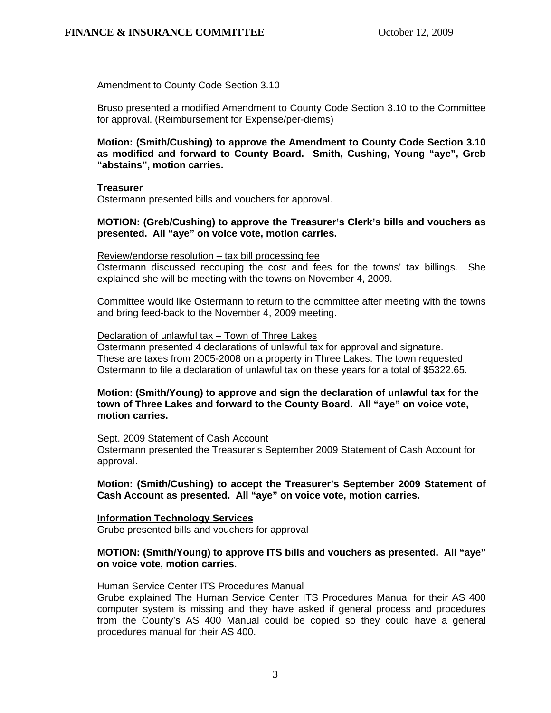### Amendment to County Code Section 3.10

Bruso presented a modified Amendment to County Code Section 3.10 to the Committee for approval. (Reimbursement for Expense/per-diems)

**Motion: (Smith/Cushing) to approve the Amendment to County Code Section 3.10 as modified and forward to County Board. Smith, Cushing, Young "aye", Greb "abstains", motion carries.** 

#### **Treasurer**

Ostermann presented bills and vouchers for approval.

### **MOTION: (Greb/Cushing) to approve the Treasurer's Clerk's bills and vouchers as presented. All "aye" on voice vote, motion carries.**

#### Review/endorse resolution – tax bill processing fee

Ostermann discussed recouping the cost and fees for the towns' tax billings. She explained she will be meeting with the towns on November 4, 2009.

Committee would like Ostermann to return to the committee after meeting with the towns and bring feed-back to the November 4, 2009 meeting.

#### Declaration of unlawful tax – Town of Three Lakes

 Ostermann presented 4 declarations of unlawful tax for approval and signature. These are taxes from 2005-2008 on a property in Three Lakes. The town requested Ostermann to file a declaration of unlawful tax on these years for a total of \$5322.65.

### **Motion: (Smith/Young) to approve and sign the declaration of unlawful tax for the town of Three Lakes and forward to the County Board. All "aye" on voice vote, motion carries.**

#### Sept. 2009 Statement of Cash Account

Ostermann presented the Treasurer's September 2009 Statement of Cash Account for approval.

#### **Motion: (Smith/Cushing) to accept the Treasurer's September 2009 Statement of Cash Account as presented. All "aye" on voice vote, motion carries.**

#### **Information Technology Services**

Grube presented bills and vouchers for approval

#### **MOTION: (Smith/Young) to approve ITS bills and vouchers as presented. All "aye" on voice vote, motion carries.**

#### Human Service Center ITS Procedures Manual

Grube explained The Human Service Center ITS Procedures Manual for their AS 400 computer system is missing and they have asked if general process and procedures from the County's AS 400 Manual could be copied so they could have a general procedures manual for their AS 400.